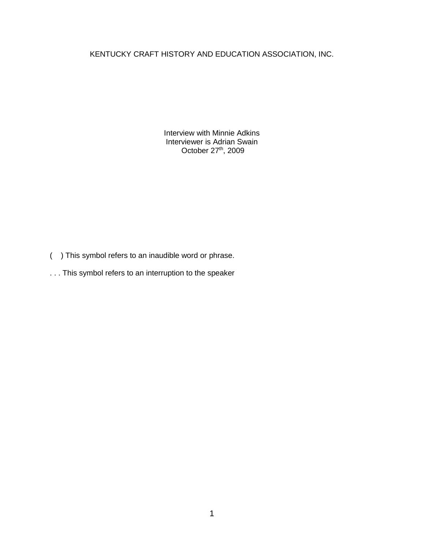## KENTUCKY CRAFT HISTORY AND EDUCATION ASSOCIATION, INC.

Interview with Minnie Adkins Interviewer is Adrian Swain October 27<sup>th</sup>, 2009

- ( ) This symbol refers to an inaudible word or phrase.
- . . . This symbol refers to an interruption to the speaker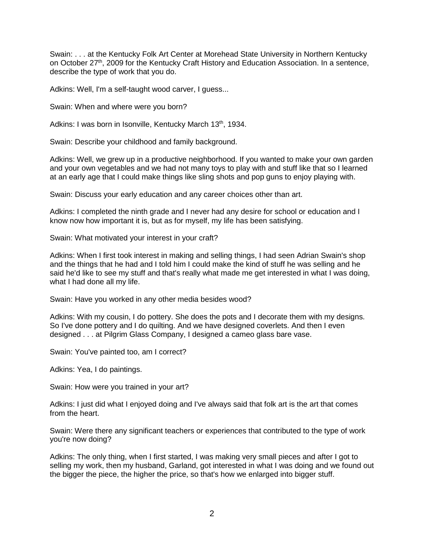Swain: . . . at the Kentucky Folk Art Center at Morehead State University in Northern Kentucky on October 27<sup>th</sup>, 2009 for the Kentucky Craft History and Education Association. In a sentence, describe the type of work that you do.

Adkins: Well, I'm a self-taught wood carver, I guess...

Swain: When and where were you born?

Adkins: I was born in Isonville, Kentucky March 13<sup>th</sup>, 1934.

Swain: Describe your childhood and family background.

Adkins: Well, we grew up in a productive neighborhood. If you wanted to make your own garden and your own vegetables and we had not many toys to play with and stuff like that so I learned at an early age that I could make things like sling shots and pop guns to enjoy playing with.

Swain: Discuss your early education and any career choices other than art.

Adkins: I completed the ninth grade and I never had any desire for school or education and I know now how important it is, but as for myself, my life has been satisfying.

Swain: What motivated your interest in your craft?

Adkins: When I first took interest in making and selling things, I had seen Adrian Swain's shop and the things that he had and I told him I could make the kind of stuff he was selling and he said he'd like to see my stuff and that's really what made me get interested in what I was doing, what I had done all my life.

Swain: Have you worked in any other media besides wood?

Adkins: With my cousin, I do pottery. She does the pots and I decorate them with my designs. So I've done pottery and I do quilting. And we have designed coverlets. And then I even designed . . . at Pilgrim Glass Company, I designed a cameo glass bare vase.

Swain: You've painted too, am I correct?

Adkins: Yea, I do paintings.

Swain: How were you trained in your art?

Adkins: I just did what I enjoyed doing and I've always said that folk art is the art that comes from the heart.

Swain: Were there any significant teachers or experiences that contributed to the type of work you're now doing?

Adkins: The only thing, when I first started, I was making very small pieces and after I got to selling my work, then my husband, Garland, got interested in what I was doing and we found out the bigger the piece, the higher the price, so that's how we enlarged into bigger stuff.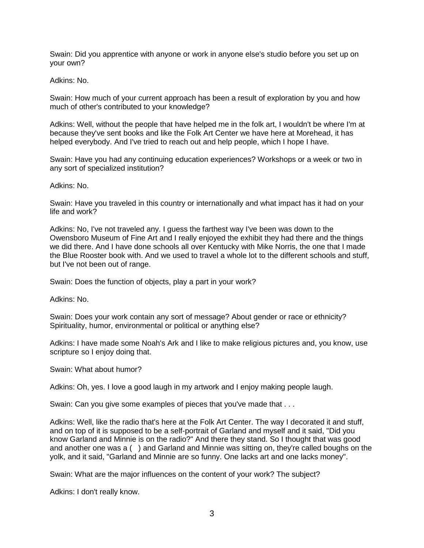Swain: Did you apprentice with anyone or work in anyone else's studio before you set up on your own?

Adkins: No.

Swain: How much of your current approach has been a result of exploration by you and how much of other's contributed to your knowledge?

Adkins: Well, without the people that have helped me in the folk art, I wouldn't be where I'm at because they've sent books and like the Folk Art Center we have here at Morehead, it has helped everybody. And I've tried to reach out and help people, which I hope I have.

Swain: Have you had any continuing education experiences? Workshops or a week or two in any sort of specialized institution?

Adkins: No.

Swain: Have you traveled in this country or internationally and what impact has it had on your life and work?

Adkins: No, I've not traveled any. I guess the farthest way I've been was down to the Owensboro Museum of Fine Art and I really enjoyed the exhibit they had there and the things we did there. And I have done schools all over Kentucky with Mike Norris, the one that I made the Blue Rooster book with. And we used to travel a whole lot to the different schools and stuff, but I've not been out of range.

Swain: Does the function of objects, play a part in your work?

Adkins: No.

Swain: Does your work contain any sort of message? About gender or race or ethnicity? Spirituality, humor, environmental or political or anything else?

Adkins: I have made some Noah's Ark and I like to make religious pictures and, you know, use scripture so I enjoy doing that.

Swain: What about humor?

Adkins: Oh, yes. I love a good laugh in my artwork and I enjoy making people laugh.

Swain: Can you give some examples of pieces that you've made that . . .

Adkins: Well, like the radio that's here at the Folk Art Center. The way I decorated it and stuff, and on top of it is supposed to be a self-portrait of Garland and myself and it said, "Did you know Garland and Minnie is on the radio?" And there they stand. So I thought that was good and another one was a ( ) and Garland and Minnie was sitting on, they're called boughs on the yolk, and it said, "Garland and Minnie are so funny. One lacks art and one lacks money".

Swain: What are the major influences on the content of your work? The subject?

Adkins: I don't really know.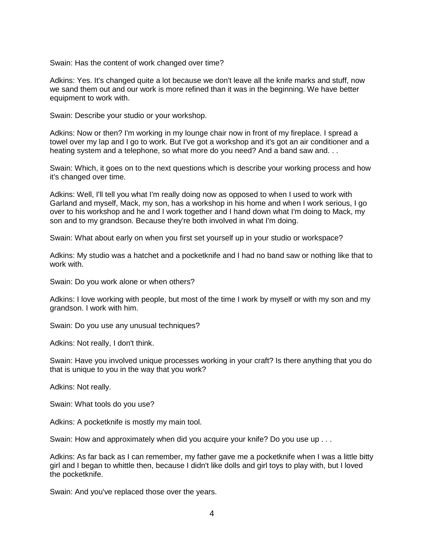Swain: Has the content of work changed over time?

Adkins: Yes. It's changed quite a lot because we don't leave all the knife marks and stuff, now we sand them out and our work is more refined than it was in the beginning. We have better equipment to work with.

Swain: Describe your studio or your workshop.

Adkins: Now or then? I'm working in my lounge chair now in front of my fireplace. I spread a towel over my lap and I go to work. But I've got a workshop and it's got an air conditioner and a heating system and a telephone, so what more do you need? And a band saw and...

Swain: Which, it goes on to the next questions which is describe your working process and how it's changed over time.

Adkins: Well, I'll tell you what I'm really doing now as opposed to when I used to work with Garland and myself, Mack, my son, has a workshop in his home and when I work serious, I go over to his workshop and he and I work together and I hand down what I'm doing to Mack, my son and to my grandson. Because they're both involved in what I'm doing.

Swain: What about early on when you first set yourself up in your studio or workspace?

Adkins: My studio was a hatchet and a pocketknife and I had no band saw or nothing like that to work with.

Swain: Do you work alone or when others?

Adkins: I love working with people, but most of the time I work by myself or with my son and my grandson. I work with him.

Swain: Do you use any unusual techniques?

Adkins: Not really, I don't think.

Swain: Have you involved unique processes working in your craft? Is there anything that you do that is unique to you in the way that you work?

Adkins: Not really.

Swain: What tools do you use?

Adkins: A pocketknife is mostly my main tool.

Swain: How and approximately when did you acquire your knife? Do you use up . . .

Adkins: As far back as I can remember, my father gave me a pocketknife when I was a little bitty girl and I began to whittle then, because I didn't like dolls and girl toys to play with, but I loved the pocketknife.

Swain: And you've replaced those over the years.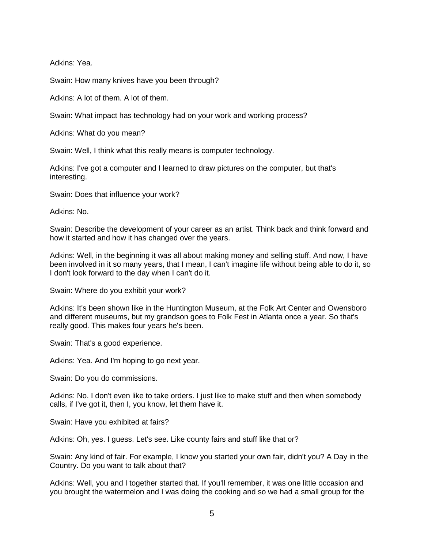Adkins: Yea.

Swain: How many knives have you been through?

Adkins: A lot of them. A lot of them.

Swain: What impact has technology had on your work and working process?

Adkins: What do you mean?

Swain: Well, I think what this really means is computer technology.

Adkins: I've got a computer and I learned to draw pictures on the computer, but that's interesting.

Swain: Does that influence your work?

Adkins: No.

Swain: Describe the development of your career as an artist. Think back and think forward and how it started and how it has changed over the years.

Adkins: Well, in the beginning it was all about making money and selling stuff. And now, I have been involved in it so many years, that I mean, I can't imagine life without being able to do it, so I don't look forward to the day when I can't do it.

Swain: Where do you exhibit your work?

Adkins: It's been shown like in the Huntington Museum, at the Folk Art Center and Owensboro and different museums, but my grandson goes to Folk Fest in Atlanta once a year. So that's really good. This makes four years he's been.

Swain: That's a good experience.

Adkins: Yea. And I'm hoping to go next year.

Swain: Do you do commissions.

Adkins: No. I don't even like to take orders. I just like to make stuff and then when somebody calls, if I've got it, then I, you know, let them have it.

Swain: Have you exhibited at fairs?

Adkins: Oh, yes. I guess. Let's see. Like county fairs and stuff like that or?

Swain: Any kind of fair. For example, I know you started your own fair, didn't you? A Day in the Country. Do you want to talk about that?

Adkins: Well, you and I together started that. If you'll remember, it was one little occasion and you brought the watermelon and I was doing the cooking and so we had a small group for the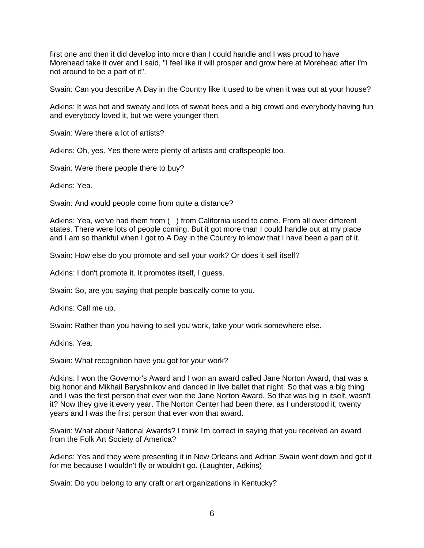first one and then it did develop into more than I could handle and I was proud to have Morehead take it over and I said, "I feel like it will prosper and grow here at Morehead after I'm not around to be a part of it".

Swain: Can you describe A Day in the Country like it used to be when it was out at your house?

Adkins: It was hot and sweaty and lots of sweat bees and a big crowd and everybody having fun and everybody loved it, but we were younger then.

Swain: Were there a lot of artists?

Adkins: Oh, yes. Yes there were plenty of artists and craftspeople too.

Swain: Were there people there to buy?

Adkins: Yea.

Swain: And would people come from quite a distance?

Adkins: Yea, we've had them from ( ) from California used to come. From all over different states. There were lots of people coming. But it got more than I could handle out at my place and I am so thankful when I got to A Day in the Country to know that I have been a part of it.

Swain: How else do you promote and sell your work? Or does it sell itself?

Adkins: I don't promote it. It promotes itself, I guess.

Swain: So, are you saying that people basically come to you.

Adkins: Call me up.

Swain: Rather than you having to sell you work, take your work somewhere else.

Adkins: Yea.

Swain: What recognition have you got for your work?

Adkins: I won the Governor's Award and I won an award called Jane Norton Award, that was a big honor and Mikhail Baryshnikov and danced in live ballet that night. So that was a big thing and I was the first person that ever won the Jane Norton Award. So that was big in itself, wasn't it? Now they give it every year. The Norton Center had been there, as I understood it, twenty years and I was the first person that ever won that award.

Swain: What about National Awards? I think I'm correct in saying that you received an award from the Folk Art Society of America?

Adkins: Yes and they were presenting it in New Orleans and Adrian Swain went down and got it for me because I wouldn't fly or wouldn't go. (Laughter, Adkins)

Swain: Do you belong to any craft or art organizations in Kentucky?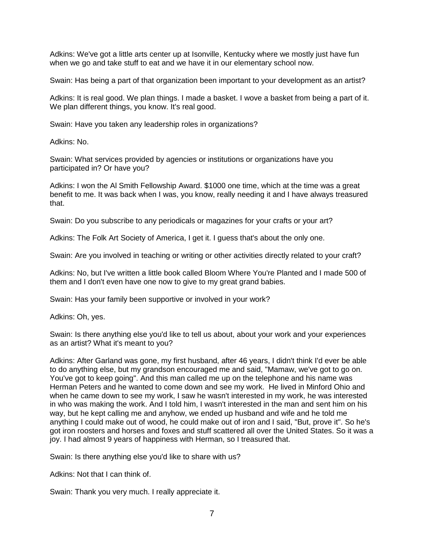Adkins: We've got a little arts center up at Isonville, Kentucky where we mostly just have fun when we go and take stuff to eat and we have it in our elementary school now.

Swain: Has being a part of that organization been important to your development as an artist?

Adkins: It is real good. We plan things. I made a basket. I wove a basket from being a part of it. We plan different things, you know. It's real good.

Swain: Have you taken any leadership roles in organizations?

Adkins: No.

Swain: What services provided by agencies or institutions or organizations have you participated in? Or have you?

Adkins: I won the Al Smith Fellowship Award. \$1000 one time, which at the time was a great benefit to me. It was back when I was, you know, really needing it and I have always treasured that.

Swain: Do you subscribe to any periodicals or magazines for your crafts or your art?

Adkins: The Folk Art Society of America, I get it. I guess that's about the only one.

Swain: Are you involved in teaching or writing or other activities directly related to your craft?

Adkins: No, but I've written a little book called Bloom Where You're Planted and I made 500 of them and I don't even have one now to give to my great grand babies.

Swain: Has your family been supportive or involved in your work?

Adkins: Oh, yes.

Swain: Is there anything else you'd like to tell us about, about your work and your experiences as an artist? What it's meant to you?

Adkins: After Garland was gone, my first husband, after 46 years, I didn't think I'd ever be able to do anything else, but my grandson encouraged me and said, "Mamaw, we've got to go on. You've got to keep going". And this man called me up on the telephone and his name was Herman Peters and he wanted to come down and see my work. He lived in Minford Ohio and when he came down to see my work, I saw he wasn't interested in my work, he was interested in who was making the work. And I told him, I wasn't interested in the man and sent him on his way, but he kept calling me and anyhow, we ended up husband and wife and he told me anything I could make out of wood, he could make out of iron and I said, "But, prove it". So he's got iron roosters and horses and foxes and stuff scattered all over the United States. So it was a joy. I had almost 9 years of happiness with Herman, so I treasured that.

Swain: Is there anything else you'd like to share with us?

Adkins: Not that I can think of.

Swain: Thank you very much. I really appreciate it.